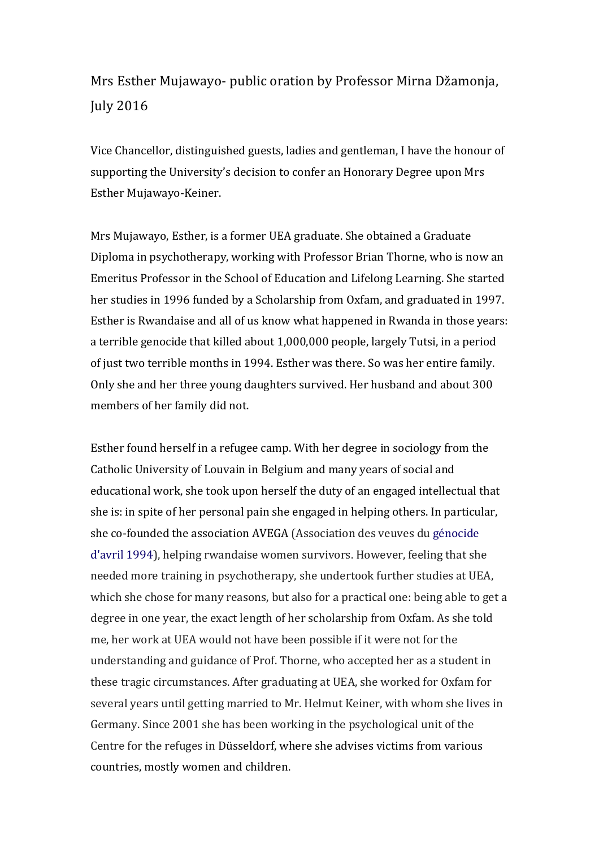## Mrs Esther Mujawayo- public oration by Professor Mirna Džamonja, July 2016

Vice Chancellor, distinguished guests, ladies and gentleman, I have the honour of supporting the University's decision to confer an Honorary Degree upon Mrs Esther Mujawayo-Keiner.

Mrs Mujawayo, Esther, is a former UEA graduate. She obtained a Graduate Diploma in psychotherapy, working with Professor Brian Thorne, who is now an Emeritus Professor in the School of Education and Lifelong Learning. She started her studies in 1996 funded by a Scholarship from Oxfam, and graduated in 1997. Esther is Rwandaise and all of us know what happened in Rwanda in those years: a terrible genocide that killed about 1,000,000 people, largely Tutsi, in a period of just two terrible months in 1994. Esther was there. So was her entire family. Only she and her three young daughters survived. Her husband and about 300 members of her family did not.

Esther found herself in a refugee camp. With her degree in sociology from the Catholic University of Louvain in Belgium and many years of social and educational work, she took upon herself the duty of an engaged intellectual that she is: in spite of her personal pain she engaged in helping others. In particular, she co-founded the association AVEGA (Association des veuves du génocide d'avril 1994), helping rwandaise women survivors. However, feeling that she needed more training in psychotherapy, she undertook further studies at UEA, which she chose for many reasons, but also for a practical one: being able to get a degree in one year, the exact length of her scholarship from Oxfam. As she told me, her work at UEA would not have been possible if it were not for the understanding and guidance of Prof. Thorne, who accepted her as a student in these tragic circumstances. After graduating at UEA, she worked for Oxfam for several years until getting married to Mr. Helmut Keiner, with whom she lives in Germany. Since 2001 she has been working in the psychological unit of the Centre for the refuges in Düsseldorf, where she advises victims from various countries, mostly women and children.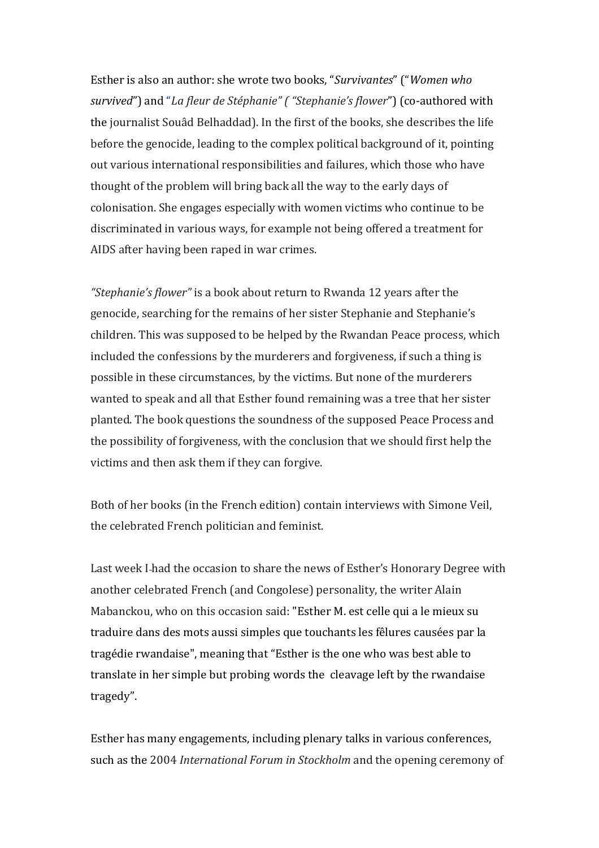Esther is also an author: she wrote two books, "Survivantes" ("Women who survived") and "*La fleur de Stéphanie"* ("Stephanie's flower") (co-authored with the journalist Souâd Belhaddad). In the first of the books, she describes the life before the genocide, leading to the complex political background of it, pointing out various international responsibilities and failures, which those who have thought of the problem will bring back all the way to the early days of colonisation. She engages especially with women victims who continue to be discriminated in various ways, for example not being offered a treatment for AIDS after having been raped in war crimes.

"Stephanie's flower" is a book about return to Rwanda 12 years after the genocide, searching for the remains of her sister Stephanie and Stephanie's children. This was supposed to be helped by the Rwandan Peace process, which included the confessions by the murderers and forgiveness, if such a thing is possible in these circumstances, by the victims. But none of the murderers wanted to speak and all that Esther found remaining was a tree that her sister planted. The book questions the soundness of the supposed Peace Process and the possibility of forgiveness, with the conclusion that we should first help the victims and then ask them if they can forgive.

Both of her books (in the French edition) contain interviews with Simone Veil, the celebrated French politician and feminist.

Last week I-had the occasion to share the news of Esther's Honorary Degree with another celebrated French (and Congolese) personality, the writer Alain Mabanckou, who on this occasion said: "Esther M. est celle qui a le mieux su traduire dans des mots aussi simples que touchants les fêlures causées par la tragédie rwandaise", meaning that "Esther is the one who was best able to translate in her simple but probing words the cleavage left by the rwandaise tragedy".

Esther has many engagements, including plenary talks in various conferences, such as the 2004 *International Forum in Stockholm* and the opening ceremony of